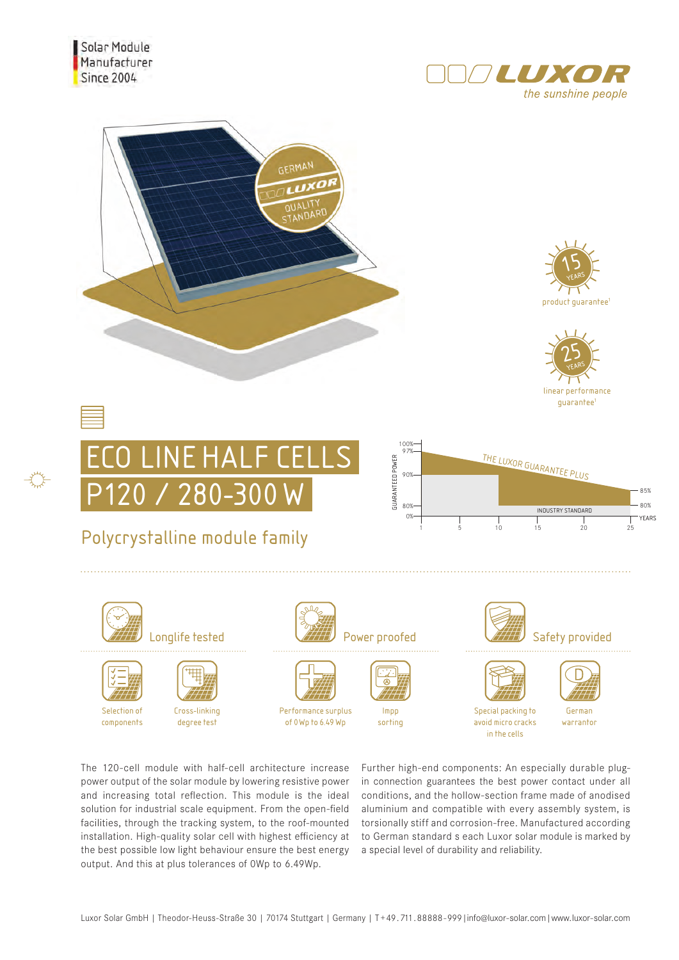













## Polycrystalline module family



Selection of components



₩



Cross-linking degree test





Performance surplus of  $0$  Wn to 6.49 Wn



Impp sorting





German warrantor

The 120-cell module with half-cell architecture increase power output of the solar module by lowering resistive power and increasing total reflection. This module is the ideal solution for industrial scale equipment. From the open-field facilities, through the tracking system, to the roof-mounted installation. High-quality solar cell with highest efficiency at the best possible low light behaviour ensure the best energy output. And this at plus tolerances of 0Wp to 6.49Wp.

Further high-end components: An especially durable plugin connection guarantees the best power contact under all conditions, and the hollow-section frame made of anodised aluminium and compatible with every assembly system, is torsionally stiff and corrosion-free. Manufactured according to German standard s each Luxor solar module is marked by a special level of durability and reliability.